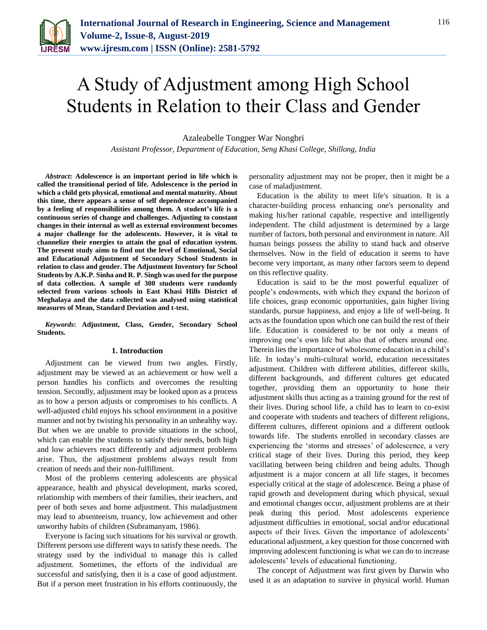

# A Study of Adjustment among High School Students in Relation to their Class and Gender

Azaleabelle Tongper War Nongbri

*Assistant Professor, Department of Education, Seng Khasi College, Shillong, India*

*Abstract***: Adolescence is an important period in life which is called the transitional period of life. Adolescence is the period in which a child gets physical, emotional and mental maturity. About this time, there appears a sense of self dependence accompanied by a feeling of responsibilities among them. A student's life is a continuous series of change and challenges. Adjusting to constant changes in their internal as well as external environment becomes a major challenge for the adolescents. However, it is vital to channelize their energies to attain the goal of education system. The present study aims to find out the level of Emotional, Social and Educational Adjustment of Secondary School Students in relation to class and gender. The Adjustment Inventory for School Students by A.K.P. Sinha and R. P. Singh was used for the purpose of data collection. A sample of 300 students were randomly selected from various schools in East Khasi Hills District of Meghalaya and the data collected was analysed using statistical measures of Mean, Standard Deviation and t-test.**

*Keywords***: Adjustment, Class, Gender, Secondary School Students.**

#### **1. Introduction**

Adjustment can be viewed from two angles. Firstly, adjustment may be viewed as an achievement or how well a person handles his conflicts and overcomes the resulting tension. Secondly, adjustment may be looked upon as a process as to how a person adjusts or compromises to his conflicts. A well-adjusted child enjoys his school environment in a positive manner and not by twisting his personality in an unhealthy way. But when we are unable to provide situations in the school, which can enable the students to satisfy their needs, both high and low achievers react differently and adjustment problems arise. Thus, the adjustment problems always result from creation of needs and their non-fulfillment.

Most of the problems centering adolescents are physical appearance, health and physical development, marks scored, relationship with members of their families, their teachers, and peer of both sexes and home adjustment. This maladjustment may lead to absenteeism, truancy, low achievement and other unworthy habits of children (Subramanyam, 1986).

Everyone is facing such situations for his survival or growth. Different persons use different ways to satisfy these needs. The strategy used by the individual to manage this is called adjustment. Sometimes, the efforts of the individual are successful and satisfying, then it is a case of good adjustment. But if a person meet frustration in his efforts continuously, the

personality adjustment may not be proper, then it might be a case of maladjustment.

Education is the ability to meet life's situation. It is a character-building process enhancing one's personality and making his/her rational capable, respective and intelligently independent. The child adjustment is determined by a large number of factors, both personal and environment in nature. All human beings possess the ability to stand back and observe themselves. Now in the field of education it seems to have become very important, as many other factors seem to depend on this reflective quality.

Education is said to be the most powerful equalizer of people's endowments, with which they expand the horizon of life choices, grasp economic opportunities, gain higher living standards, pursue happiness, and enjoy a life of well-being. It acts as the foundation upon which one can build the rest of their life. Education is considered to be not only a means of improving one's own life but also that of others around one. Therein lies the importance of wholesome education in a child's life. In today's multi-cultural world, education necessitates adjustment. Children with different abilities, different skills, different backgrounds, and different cultures get educated together, providing them an opportunity to hone their adjustment skills thus acting as a training ground for the rest of their lives. During school life, a child has to learn to co-exist and cooperate with students and teachers of different religions, different cultures, different opinions and a different outlook towards life. The students enrolled in secondary classes are experiencing the 'storms and stresses' of adolescence, a very critical stage of their lives. During this period, they keep vacillating between being children and being adults. Though adjustment is a major concern at all life stages, it becomes especially critical at the stage of adolescence. Being a phase of rapid growth and development during which physical, sexual and emotional changes occur, adjustment problems are at their peak during this period. Most adolescents experience adjustment difficulties in emotional, social and/or educational aspects of their lives. Given the importance of adolescents' educational adjustment, a key question for those concerned with improving adolescent functioning is what we can do to increase adolescents' levels of educational functioning.

The concept of Adjustment was first given by Darwin who used it as an adaptation to survive in physical world. Human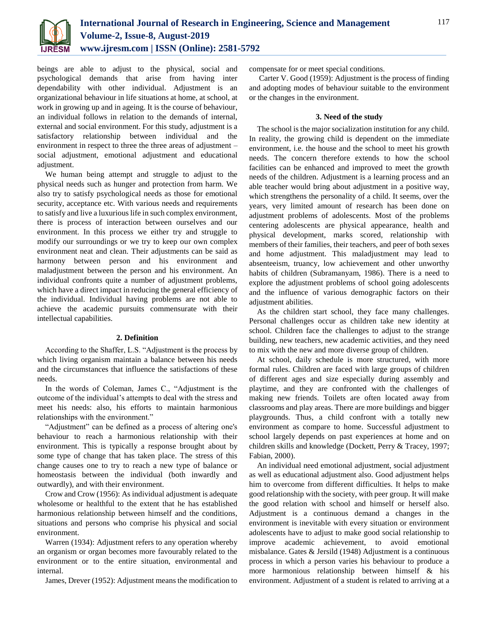

beings are able to adjust to the physical, social and psychological demands that arise from having inter dependability with other individual. Adjustment is an organizational behaviour in life situations at home, at school, at work in growing up and in ageing. It is the course of behaviour, an individual follows in relation to the demands of internal, external and social environment. For this study, adjustment is a satisfactory relationship between individual and the environment in respect to three the three areas of adjustment – social adjustment, emotional adjustment and educational adjustment.

We human being attempt and struggle to adjust to the physical needs such as hunger and protection from harm. We also try to satisfy psychological needs as those for emotional security, acceptance etc. With various needs and requirements to satisfy and live a luxurious life in such complex environment, there is process of interaction between ourselves and our environment. In this process we either try and struggle to modify our surroundings or we try to keep our own complex environment neat and clean. Their adjustments can be said as harmony between person and his environment and maladjustment between the person and his environment. An individual confronts quite a number of adjustment problems, which have a direct impact in reducing the general efficiency of the individual. Individual having problems are not able to achieve the academic pursuits commensurate with their intellectual capabilities.

#### **2. Definition**

According to the Shaffer, L.S. "Adjustment is the process by which living organism maintain a balance between his needs and the circumstances that influence the satisfactions of these needs.

In the words of Coleman, James C., "Adjustment is the outcome of the individual's attempts to deal with the stress and meet his needs: also, his efforts to maintain harmonious relationships with the environment."

"Adjustment" can be defined as a process of altering one's behaviour to reach a harmonious relationship with their environment. This is typically a response brought about by some type of change that has taken place. The stress of this change causes one to try to reach a new type of balance or homeostasis between the individual (both inwardly and outwardly), and with their environment.

Crow and Crow (1956): As individual adjustment is adequate wholesome or healthful to the extent that he has established harmonious relationship between himself and the conditions, situations and persons who comprise his physical and social environment.

Warren (1934): Adjustment refers to any operation whereby an organism or organ becomes more favourably related to the environment or to the entire situation, environmental and internal.

James, Drever (1952): Adjustment means the modification to

compensate for or meet special conditions.

Carter V. Good (1959): Adjustment is the process of finding and adopting modes of behaviour suitable to the environment or the changes in the environment.

## **3. Need of the study**

The school is the major socialization institution for any child. In reality, the growing child is dependent on the immediate environment, i.e. the house and the school to meet his growth needs. The concern therefore extends to how the school facilities can be enhanced and improved to meet the growth needs of the children. Adjustment is a learning process and an able teacher would bring about adjustment in a positive way, which strengthens the personality of a child. It seems, over the years, very limited amount of research has been done on adjustment problems of adolescents. Most of the problems centering adolescents are physical appearance, health and physical development, marks scored, relationship with members of their families, their teachers, and peer of both sexes and home adjustment. This maladjustment may lead to absenteeism, truancy, low achievement and other unworthy habits of children (Subramanyam, 1986). There is a need to explore the adjustment problems of school going adolescents and the influence of various demographic factors on their adjustment abilities.

As the children start school, they face many challenges. Personal challenges occur as children take new identity at school. Children face the challenges to adjust to the strange building, new teachers, new academic activities, and they need to mix with the new and more diverse group of children.

At school, daily schedule is more structured, with more formal rules. Children are faced with large groups of children of different ages and size especially during assembly and playtime, and they are confronted with the challenges of making new friends. Toilets are often located away from classrooms and play areas. There are more buildings and bigger playgrounds. Thus, a child confront with a totally new environment as compare to home. Successful adjustment to school largely depends on past experiences at home and on children skills and knowledge (Dockett, Perry & Tracey, 1997; Fabian, 2000).

An individual need emotional adjustment, social adjustment as well as educational adjustment also. Good adjustment helps him to overcome from different difficulties. It helps to make good relationship with the society, with peer group. It will make the good relation with school and himself or herself also. Adjustment is a continuous demand a changes in the environment is inevitable with every situation or environment adolescents have to adjust to make good social relationship to improve academic achievement, to avoid emotional misbalance. Gates & Jersild (1948) Adjustment is a continuous process in which a person varies his behaviour to produce a more harmonious relationship between himself & his environment. Adjustment of a student is related to arriving at a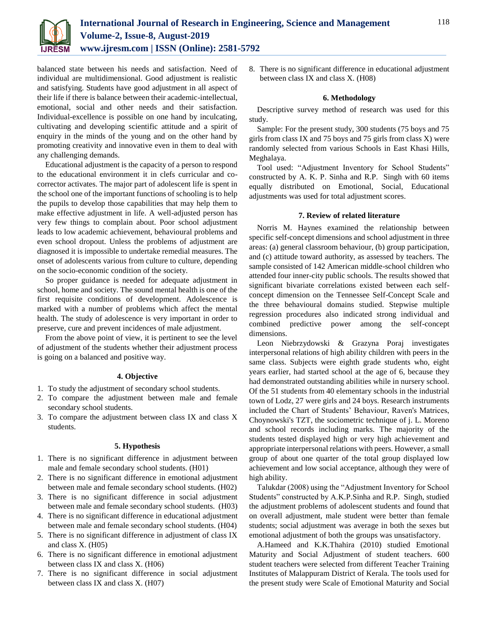

balanced state between his needs and satisfaction. Need of individual are multidimensional. Good adjustment is realistic and satisfying. Students have good adjustment in all aspect of their life if there is balance between their academic-intellectual, emotional, social and other needs and their satisfaction. Individual-excellence is possible on one hand by inculcating, cultivating and developing scientific attitude and a spirit of enquiry in the minds of the young and on the other hand by promoting creativity and innovative even in them to deal with any challenging demands.

Educational adjustment is the capacity of a person to respond to the educational environment it in clefs curricular and cocorrector activates. The major part of adolescent life is spent in the school one of the important functions of schooling is to help the pupils to develop those capabilities that may help them to make effective adjustment in life. A well-adjusted person has very few things to complain about. Poor school adjustment leads to low academic achievement, behavioural problems and even school dropout. Unless the problems of adjustment are diagnosed it is impossible to undertake remedial measures. The onset of adolescents various from culture to culture, depending on the socio-economic condition of the society.

So proper guidance is needed for adequate adjustment in school, home and society. The sound mental health is one of the first requisite conditions of development. Adolescence is marked with a number of problems which affect the mental health. The study of adolescence is very important in order to preserve, cure and prevent incidences of male adjustment.

From the above point of view, it is pertinent to see the level of adjustment of the students whether their adjustment process is going on a balanced and positive way.

# **4. Objective**

- 1. To study the adjustment of secondary school students.
- 2. To compare the adjustment between male and female secondary school students.
- 3. To compare the adjustment between class IX and class X students.

# **5. Hypothesis**

- 1. There is no significant difference in adjustment between male and female secondary school students. (H01)
- 2. There is no significant difference in emotional adjustment between male and female secondary school students. (H02)
- 3. There is no significant difference in social adjustment between male and female secondary school students. (H03)
- 4. There is no significant difference in educational adjustment between male and female secondary school students. (H04)
- 5. There is no significant difference in adjustment of class IX and class X. (H05)
- 6. There is no significant difference in emotional adjustment between class IX and class X. (H06)
- 7. There is no significant difference in social adjustment between class IX and class X. (H07)

8. There is no significant difference in educational adjustment between class IX and class X. (H08)

# **6. Methodology**

Descriptive survey method of research was used for this study.

Sample: For the present study, 300 students (75 boys and 75 girls from class IX and 75 boys and 75 girls from class X) were randomly selected from various Schools in East Khasi Hills, Meghalaya.

Tool used: "Adjustment Inventory for School Students" constructed by A. K. P. Sinha and R.P. Singh with 60 items equally distributed on Emotional, Social, Educational adjustments was used for total adjustment scores.

#### **7. Review of related literature**

Norris M. Haynes examined the relationship between specific self-concept dimensions and school adjustment in three areas: (a) general classroom behaviour, (b) group participation, and (c) attitude toward authority, as assessed by teachers. The sample consisted of 142 American middle-school children who attended four inner-city public schools. The results showed that significant bivariate correlations existed between each selfconcept dimension on the Tennessee Self-Concept Scale and the three behavioural domains studied. Stepwise multiple regression procedures also indicated strong individual and combined predictive power among the self-concept dimensions.

Leon Niebrzydowski & Grazyna Poraj investigates interpersonal relations of high ability children with peers in the same class. Subjects were eighth grade students who, eight years earlier, had started school at the age of 6, because they had demonstrated outstanding abilities while in nursery school. Of the 51 students from 40 elementary schools in the industrial town of Lodz, 27 were girls and 24 boys. Research instruments included the Chart of Students' Behaviour, Raven's Matrices, Choynowski's TZT, the sociometric technique of j. L. Moreno and school records including marks. The majority of the students tested displayed high or very high achievement and appropriate interpersonal relations with peers. However, a small group of about one quarter of the total group displayed low achievement and low social acceptance, although they were of high ability.

Talukdar (2008) using the "Adjustment Inventory for School Students" constructed by A.K.P.Sinha and R.P. Singh, studied the adjustment problems of adolescent students and found that on overall adjustment, male student were better than female students; social adjustment was average in both the sexes but emotional adjustment of both the groups was unsatisfactory.

A.Hameed and K.K.Thahira (2010) studied Emotional Maturity and Social Adjustment of student teachers. 600 student teachers were selected from different Teacher Training Institutes of Malappuram District of Kerala. The tools used for the present study were Scale of Emotional Maturity and Social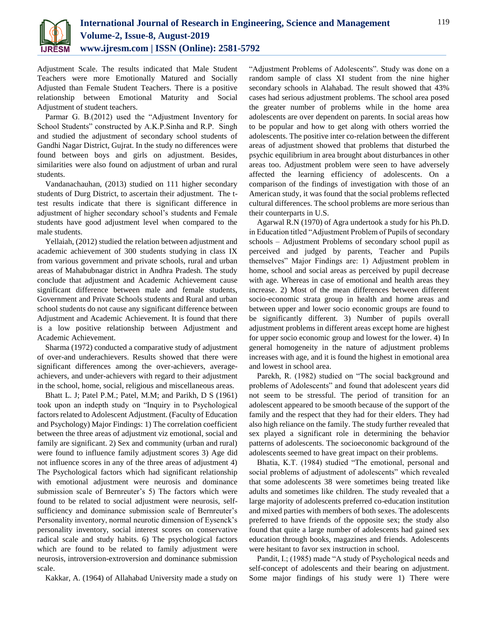

Adjustment Scale. The results indicated that Male Student Teachers were more Emotionally Matured and Socially Adjusted than Female Student Teachers. There is a positive relationship between Emotional Maturity and Social Adjustment of student teachers.

Parmar G. B.(2012) used the "Adjustment Inventory for School Students" constructed by A.K.P.Sinha and R.P. Singh and studied the adjustment of secondary school students of Gandhi Nagar District, Gujrat. In the study no differences were found between boys and girls on adjustment. Besides, similarities were also found on adjustment of urban and rural students.

Vandanachauhan, (2013) studied on 111 higher secondary students of Durg District, to ascertain their adjustment. The ttest results indicate that there is significant difference in adjustment of higher secondary school's students and Female students have good adjustment level when compared to the male students.

Yellaiah, (2012) studied the relation between adjustment and academic achievement of 300 students studying in class IX from various government and private schools, rural and urban areas of Mahabubnagar district in Andhra Pradesh. The study conclude that adjustment and Academic Achievement cause significant difference between male and female students, Government and Private Schools students and Rural and urban school students do not cause any significant difference between Adjustment and Academic Achievement. It is found that there is a low positive relationship between Adjustment and Academic Achievement.

Sharma (1972) conducted a comparative study of adjustment of over-and underachievers. Results showed that there were significant differences among the over-achievers, averageachievers, and under-achievers with regard to their adjustment in the school, home, social, religious and miscellaneous areas.

Bhatt L. J; Patel P.M.; Patel, M.M; and Parikh, D S (1961) took upon an indepth study on "Inquiry in to Psychological factors related to Adolescent Adjustment. (Faculty of Education and Psychology) Major Findings: 1) The correlation coefficient between the three areas of adjustment viz emotional, social and family are significant. 2) Sex and community (urban and rural) were found to influence family adjustment scores 3) Age did not influence scores in any of the three areas of adjustment 4) The Psychological factors which had significant relationship with emotional adjustment were neurosis and dominance submission scale of Bernreuter's 5) The factors which were found to be related to social adjustment were neurosis, selfsufficiency and dominance submission scale of Bernreuter's Personality inventory, normal neurotic dimension of Eysenck's personality inventory, social interest scores on conservative radical scale and study habits. 6) The psychological factors which are found to be related to family adjustment were neurosis, introversion-extroversion and dominance submission scale.

Kakkar, A. (1964) of Allahabad University made a study on

"Adjustment Problems of Adolescents". Study was done on a random sample of class XI student from the nine higher secondary schools in Alahabad. The result showed that 43% cases had serious adjustment problems. The school area posed the greater number of problems while in the home area adolescents are over dependent on parents. In social areas how to be popular and how to get along with others worried the adolescents. The positive inter co-relation between the different areas of adjustment showed that problems that disturbed the psychic equilibrium in area brought about disturbances in other areas too. Adjustment problem were seen to have adversely affected the learning efficiency of adolescents. On a comparison of the findings of investigation with those of an American study, it was found that the social problems reflected cultural differences. The school problems are more serious than their counterparts in U.S.

Agarwal R.N (1970) of Agra undertook a study for his Ph.D. in Education titled "Adjustment Problem of Pupils of secondary schools – Adjustment Problems of secondary school pupil as perceived and judged by parents, Teacher and Pupils themselves" Major Findings are: 1) Adjustment problem in home, school and social areas as perceived by pupil decrease with age. Whereas in case of emotional and health areas they increase. 2) Most of the mean differences between different socio-economic strata group in health and home areas and between upper and lower socio economic groups are found to be significantly different. 3) Number of pupils overall adjustment problems in different areas except home are highest for upper socio economic group and lowest for the lower. 4) In general homogeneity in the nature of adjustment problems increases with age, and it is found the highest in emotional area and lowest in school area.

Parekh, R. (1982) studied on "The social background and problems of Adolescents" and found that adolescent years did not seem to be stressful. The period of transition for an adolescent appeared to be smooth because of the support of the family and the respect that they had for their elders. They had also high reliance on the family. The study further revealed that sex played a significant role in determining the behavior patterns of adolescents. The socioeconomic background of the adolescents seemed to have great impact on their problems.

Bhatia, K.T. (1984) studied "The emotional, personal and social problems of adjustment of adolescents" which revealed that some adolescents 38 were sometimes being treated like adults and sometimes like children. The study revealed that a large majority of adolescents preferred co-education institution and mixed parties with members of both sexes. The adolescents preferred to have friends of the opposite sex; the study also found that quite a large number of adolescents had gained sex education through books, magazines and friends. Adolescents were hesitant to favor sex instruction in school.

Pandit, I.; (1985) made "A study of Psychological needs and self-concept of adolescents and their bearing on adjustment. Some major findings of his study were 1) There were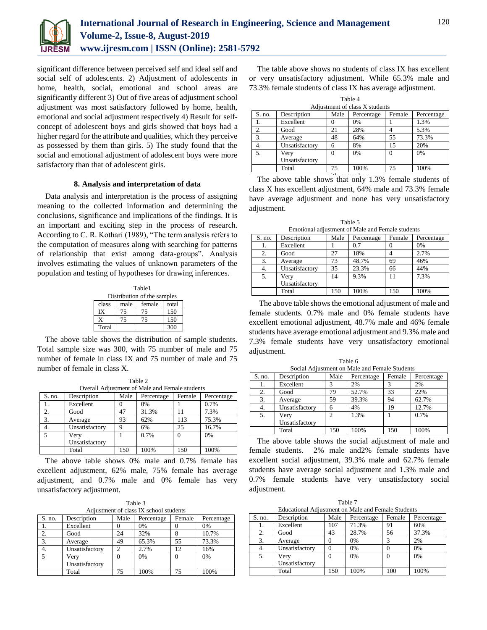

significant difference between perceived self and ideal self and social self of adolescents. 2) Adjustment of adolescents in home, health, social, emotional and school areas are significantly different 3) Out of five areas of adjustment school adjustment was most satisfactory followed by home, health, emotional and social adjustment respectively 4) Result for selfconcept of adolescent boys and girls showed that boys had a higher regard for the attribute and qualities, which they perceive as possessed by them than girls. 5) The study found that the social and emotional adjustment of adolescent boys were more satisfactory than that of adolescent girls.

# **8. Analysis and interpretation of data**

Data analysis and interpretation is the process of assigning meaning to the collected information and determining the conclusions, significance and implications of the findings. It is an important and exciting step in the process of research. According to C. R. Kothari (1989), "The term analysis refers to the computation of measures along with searching for patterns of relationship that exist among data-groups". Analysis involves estimating the values of unknown parameters of the population and testing of hypotheses for drawing inferences.

| Table1                           |    |    |     |  |  |  |  |  |  |  |
|----------------------------------|----|----|-----|--|--|--|--|--|--|--|
| Distribution of the samples      |    |    |     |  |  |  |  |  |  |  |
| male<br>female<br>class<br>total |    |    |     |  |  |  |  |  |  |  |
| IX                               | 75 | 75 | 150 |  |  |  |  |  |  |  |
| X                                | 75 | 75 | 150 |  |  |  |  |  |  |  |
| Total                            |    |    | 300 |  |  |  |  |  |  |  |

The above table shows the distribution of sample students. Total sample size was 300, with 75 number of male and 75 number of female in class IX and 75 number of male and 75 number of female in class X.

Table 2 Overall Adjustment of Male and Female students S. no. Description Male Percentage Female Percentage<br>
1. Excellent 0 0% 1 0.7% 1. **Excellent** 0 0% 1 2. | Good | 47 | 31.3% | 11 | 7.3% 3. Average 93 62% 113 75.3% 4. Unsatisfactory 9 6% 25 16.7% 5 Very Unsatisfactory 1 0.7% 0 0% Total 150 100% 150 100%

The above table shows 0% male and 0.7% female has excellent adjustment, 62% male, 75% female has average adjustment, and 0.7% male and 0% female has very unsatisfactory adjustment.

| Table 3                                |  |
|----------------------------------------|--|
| Adjustment of class IX school students |  |

| S. no. | Description    | Male     | Percentage | Female   | Percentage |
|--------|----------------|----------|------------|----------|------------|
|        | Excellent      |          | 0%         |          | 0%         |
| 2.     | Good           | 24       | 32%        |          | 10.7%      |
| 3.     | Average        | 49       | 65.3%      | 55       | 73.3%      |
| 4.     | Unsatisfactory | ◠        | 2.7%       | 12.      | 16%        |
| 5      | Very           | $\theta$ | $0\%$      | $\left($ | 0%         |
|        | Unsatisfactory |          |            |          |            |
|        | Total          | 75       | 100%       |          | 100%       |

The table above shows no students of class IX has excellent or very unsatisfactory adjustment. While 65.3% male and 73.3% female students of class IX has average adjustment.

Table 4 Adjustment of class X students

| Attribution of class A students |                |          |            |        |            |  |  |  |  |  |
|---------------------------------|----------------|----------|------------|--------|------------|--|--|--|--|--|
| $S$ . no.                       | Description    | Male     | Percentage | Female | Percentage |  |  |  |  |  |
|                                 | Excellent      |          | 0%         |        | 1.3%       |  |  |  |  |  |
| 2.                              | Good           | 21       | 28%        |        | 5.3%       |  |  |  |  |  |
| 3.                              | Average        | 48       | 64%        | 55     | 73.3%      |  |  |  |  |  |
|                                 | Unsatisfactory | 6        | 8%         | 15     | 20%        |  |  |  |  |  |
| 5.                              | Very           | $\Omega$ | 0%         | 0      | 0%         |  |  |  |  |  |
|                                 | Unsatisfactory |          |            |        |            |  |  |  |  |  |
|                                 | Total          | 75       | 100%       | 75     | 100%       |  |  |  |  |  |

The above table shows that only  $1.3\%$  female students of class X has excellent adjustment, 64% male and 73.3% female have average adjustment and none has very unsatisfactory adjustment.

Table 5 Emotional adjustment of Male and Female students

| S. no. | Description    | Male | Percentage | Female | Percentage |  |  |  |  |
|--------|----------------|------|------------|--------|------------|--|--|--|--|
|        | Excellent      |      | 0.7        |        | 0%         |  |  |  |  |
| 2.     | Good           | 27   | 18%        |        | 2.7%       |  |  |  |  |
| 3.     | Average        | 73   | 48.7%      | 69     | 46%        |  |  |  |  |
| 4.     | Unsatisfactory | 35   | 23.3%      | 66     | 44%        |  |  |  |  |
| 5.     | Very           | 14   | 9.3%       |        | 7.3%       |  |  |  |  |
|        | Unsatisfactory |      |            |        |            |  |  |  |  |
|        | Total          | 150  | 100%       | 150    | 100%       |  |  |  |  |

The above table shows the emotional adjustment of male and female students. 0.7% male and 0% female students have excellent emotional adjustment, 48.7% male and 46% female students have average emotional adjustment and 9.3% male and 7.3% female students have very unsatisfactory emotional adjustment.

Table 6

| Social Adjustment on Male and Female Students |                                                           |                |       |     |       |  |  |  |  |  |  |
|-----------------------------------------------|-----------------------------------------------------------|----------------|-------|-----|-------|--|--|--|--|--|--|
| S. no.                                        | Description<br>Male<br>Female<br>Percentage<br>Percentage |                |       |     |       |  |  |  |  |  |  |
| 1.                                            | Excellent                                                 | 3              | 2%    |     | 2%    |  |  |  |  |  |  |
| 2.                                            | Good                                                      | 79             | 52.7% | 33  | 22%   |  |  |  |  |  |  |
| 3.                                            | Average                                                   | 59             | 39.3% | 94  | 62.7% |  |  |  |  |  |  |
| 4.                                            | Unsatisfactory                                            | 6              | 4%    | 19  | 12.7% |  |  |  |  |  |  |
| 5.                                            | Very                                                      | $\mathfrak{D}$ | 1.3%  |     | 0.7%  |  |  |  |  |  |  |
|                                               | Unsatisfactory                                            |                |       |     |       |  |  |  |  |  |  |
|                                               | Total                                                     | 150            | 100%  | 150 | 100%  |  |  |  |  |  |  |

The above table shows the social adjustment of male and female students. 2% male and2% female students have excellent social adjustment, 39.3% male and 62.7% female students have average social adjustment and 1.3% male and 0.7% female students have very unsatisfactory social adjustment.

Table 7 Educational Adjustment on Male and Female Students

| S. no. | Description    | Male   | Percentage | Female   | Percentage |
|--------|----------------|--------|------------|----------|------------|
|        | Excellent      | 107    | 71.3%      | 91       | 60%        |
| 2.     | Good           | 43     | 28.7%      | 56       | 37.3%      |
| 3.     | Average        | $_{0}$ | 0%         | 3        | 2%         |
| 4.     | Unsatisfactory |        | 0%         |          | 0%         |
| 5.     | Very           | 0      | 0%         | $^{(1)}$ | 0%         |
|        | Unsatisfactory |        |            |          |            |
|        | Total          | 150    | 100%       | 100      | 100%       |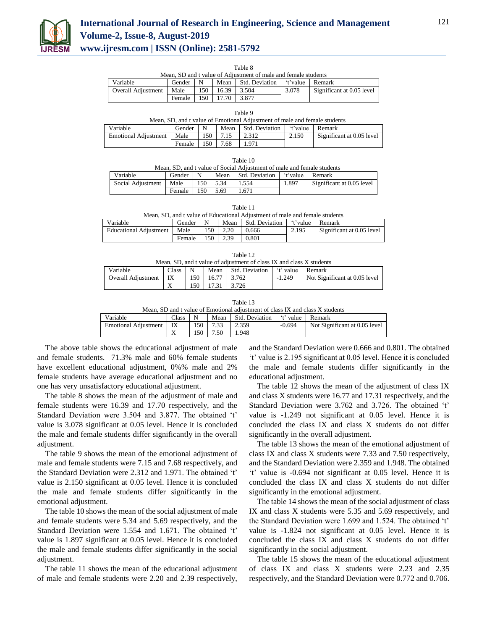

# **International Journal of Research in Engineering, Science and Management Volume-2, Issue-8, August-2019 www.ijresm.com | ISSN (Online): 2581-5792**

Table 8

| Mean, SD and t value of Adjustment of male and female students             |        |  |                       |       |       |                           |  |  |  |  |
|----------------------------------------------------------------------------|--------|--|-----------------------|-------|-------|---------------------------|--|--|--|--|
| 't'value Remark<br>Mean Std. Deviation<br>Variable<br>Gender $\mid N \mid$ |        |  |                       |       |       |                           |  |  |  |  |
| <b>Overall Adjustment</b>                                                  | Male   |  | $150 \mid 16.39 \mid$ | 3.504 | 3.078 | Significant at 0.05 level |  |  |  |  |
|                                                                            | Female |  | 150 17.70 3.877       |       |       |                           |  |  |  |  |

| Table 9                                                                   |            |  |  |                                      |  |  |  |  |  |  |
|---------------------------------------------------------------------------|------------|--|--|--------------------------------------|--|--|--|--|--|--|
| Mean, SD, and t value of Emotional Adjustment of male and female students |            |  |  |                                      |  |  |  |  |  |  |
| Variable                                                                  | Gender   N |  |  | Mean Std. Deviation f't'value Remark |  |  |  |  |  |  |

| .                    | -------- |     | .   |       | .     | ----------                |
|----------------------|----------|-----|-----|-------|-------|---------------------------|
| Emotional Adjustment | Male     | 150 | .   | 2.312 | 2.150 | Significant at 0.05 level |
|                      | Female   | 150 | .68 |       |       |                           |
|                      |          |     |     |       |       |                           |

| Table 10                                                               |        |     |      |                |          |                           |  |  |  |  |  |
|------------------------------------------------------------------------|--------|-----|------|----------------|----------|---------------------------|--|--|--|--|--|
| Mean, SD, and t value of Social Adjustment of male and female students |        |     |      |                |          |                           |  |  |  |  |  |
| Variable                                                               | Gender | N   | Mean | Std. Deviation | 't'value | Remark                    |  |  |  |  |  |
| Social Adjustment                                                      | Male   | 150 | 5.34 | 1.554          | 1.897    | Significant at 0.05 level |  |  |  |  |  |
|                                                                        | Female | 150 | 5.69 | 1.671          |          |                           |  |  |  |  |  |

Table 11

Mean, SD, and t value of Educational Adjustment of male and female students

| Variable                      | Gender |     | Mean | Std. Deviation | t'value | Remark                    |
|-------------------------------|--------|-----|------|----------------|---------|---------------------------|
| <b>Educational Adiustment</b> | Male   | .50 | 2.20 | 0.666          | 2.195   | Significant at 0.05 level |
|                               | Female | .50 | 2.39 | 0.801          |         |                           |

| Table 12.<br>Mean, SD, and t value of adjustment of class IX and class X students |              |     |       |                |           |                               |  |  |
|-----------------------------------------------------------------------------------|--------------|-----|-------|----------------|-----------|-------------------------------|--|--|
| Variable                                                                          | <b>Class</b> | N   | Mean  | Std. Deviation | 't' value | Remark                        |  |  |
| <b>Overall Adjustment</b>                                                         | IX           | 150 | 16.77 | 3.762          | $-1.249$  | Not Significant at 0.05 level |  |  |
|                                                                                   | X            | 150 |       | 3.726          |           |                               |  |  |

| Table |  |
|-------|--|
|       |  |

| Mean, SD and t value of Emotional adjustment of class IX and class X students |              |              |          |                |          |                               |  |
|-------------------------------------------------------------------------------|--------------|--------------|----------|----------------|----------|-------------------------------|--|
| Variable                                                                      | <b>Class</b> | $\mathsf{N}$ | Mean     | Std. Deviation | t' value | Remark                        |  |
| Emotional Adiustment   IX                                                     |              |              | 150 7.33 | 2.359          | $-0.694$ | Not Significant at 0.05 level |  |
|                                                                               |              |              | 150 7.50 | 1.948          |          |                               |  |

The above table shows the educational adjustment of male and female students. 71.3% male and 60% female students have excellent educational adjustment, 0%% male and 2% female students have average educational adjustment and no one has very unsatisfactory educational adjustment.

The table 8 shows the mean of the adjustment of male and female students were 16.39 and 17.70 respectively, and the Standard Deviation were 3.504 and 3.877. The obtained 't' value is 3.078 significant at 0.05 level. Hence it is concluded the male and female students differ significantly in the overall adjustment.

The table 9 shows the mean of the emotional adjustment of male and female students were 7.15 and 7.68 respectively, and the Standard Deviation were 2.312 and 1.971. The obtained 't' value is 2.150 significant at 0.05 level. Hence it is concluded the male and female students differ significantly in the emotional adjustment.

The table 10 shows the mean of the social adjustment of male and female students were 5.34 and 5.69 respectively, and the Standard Deviation were 1.554 and 1.671. The obtained 't' value is 1.897 significant at 0.05 level. Hence it is concluded the male and female students differ significantly in the social adjustment.

The table 11 shows the mean of the educational adjustment of male and female students were 2.20 and 2.39 respectively,

and the Standard Deviation were 0.666 and 0.801. The obtained 't' value is 2.195 significant at 0.05 level. Hence it is concluded the male and female students differ significantly in the educational adjustment.

The table 12 shows the mean of the adjustment of class IX and class X students were 16.77 and 17.31 respectively, and the Standard Deviation were 3.762 and 3.726. The obtained 't' value is -1.249 not significant at 0.05 level. Hence it is concluded the class IX and class X students do not differ significantly in the overall adjustment.

The table 13 shows the mean of the emotional adjustment of class IX and class X students were 7.33 and 7.50 respectively, and the Standard Deviation were 2.359 and 1.948. The obtained 't' value is -0.694 not significant at 0.05 level. Hence it is concluded the class IX and class X students do not differ significantly in the emotional adjustment.

The table 14 shows the mean of the social adjustment of class IX and class X students were 5.35 and 5.69 respectively, and the Standard Deviation were 1.699 and 1.524. The obtained 't' value is -1.824 not significant at 0.05 level. Hence it is concluded the class IX and class X students do not differ significantly in the social adjustment.

The table 15 shows the mean of the educational adjustment of class IX and class X students were 2.23 and 2.35 respectively, and the Standard Deviation were 0.772 and 0.706.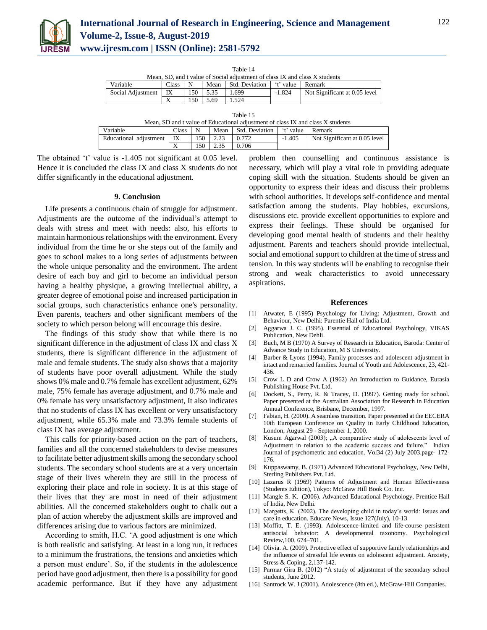

| Table |
|-------|
|-------|

| Mean, SD, and t value of Social adjustment of class IX and class X students |                                                      |       |      |       |          |                               |  |
|-----------------------------------------------------------------------------|------------------------------------------------------|-------|------|-------|----------|-------------------------------|--|
| Variable                                                                    | 't' value Remark<br>Mean Std. Deviation<br>$Class_1$ |       |      |       |          |                               |  |
| Social Adiustment                                                           | $\overline{X}$                                       | 150 I | 5.35 | 1.699 | $-1.824$ | Not Significant at 0.05 level |  |
|                                                                             |                                                      | 150.  | 5.69 | 1.524 |          |                               |  |

Table 15

| Mean, SD and t value of Educational adjustment of class IX and class X students |                |  |                 |                                   |          |                               |  |
|---------------------------------------------------------------------------------|----------------|--|-----------------|-----------------------------------|----------|-------------------------------|--|
| Variable                                                                        | $Class \mid N$ |  |                 | Mean Std. Deviation Figure Remark |          |                               |  |
| Educational adjustment                                                          | IX             |  | 150 2.23        | 0.772                             | $-1.405$ | Not Significant at 0.05 level |  |
|                                                                                 |                |  | $150 \mid 2.35$ | 0.706                             |          |                               |  |

The obtained 't' value is -1.405 not significant at 0.05 level. Hence it is concluded the class IX and class X students do not differ significantly in the educational adjustment.

## **9. Conclusion**

Life presents a continuous chain of struggle for adjustment. Adjustments are the outcome of the individual's attempt to deals with stress and meet with needs: also, his efforts to maintain harmonious relationships with the environment. Every individual from the time he or she steps out of the family and goes to school makes to a long series of adjustments between the whole unique personality and the environment. The ardent desire of each boy and girl to become an individual person having a healthy physique, a growing intellectual ability, a greater degree of emotional poise and increased participation in social groups, such characteristics enhance one's personality. Even parents, teachers and other significant members of the society to which person belong will encourage this desire.

The findings of this study show that while there is no significant difference in the adjustment of class IX and class X students, there is significant difference in the adjustment of male and female students. The study also shows that a majority of students have poor overall adjustment. While the study shows 0% male and 0.7% female has excellent adjustment, 62% male, 75% female has average adjustment, and 0.7% male and 0% female has very unsatisfactory adjustment, It also indicates that no students of class IX has excellent or very unsatisfactory adjustment, while 65.3% male and 73.3% female students of class IX has average adjustment.

This calls for priority-based action on the part of teachers, families and all the concerned stakeholders to devise measures to facilitate better adjustment skills among the secondary school students. The secondary school students are at a very uncertain stage of their lives wherein they are still in the process of exploring their place and role in society. It is at this stage of their lives that they are most in need of their adjustment abilities. All the concerned stakeholders ought to chalk out a plan of action whereby the adjustment skills are improved and differences arising due to various factors are minimized.

According to smith, H.C. 'A good adjustment is one which is both realistic and satisfying. At least in a long run, it reduces to a minimum the frustrations, the tensions and anxieties which a person must endure'. So, if the students in the adolescence period have good adjustment, then there is a possibility for good academic performance. But if they have any adjustment problem then counselling and continuous assistance is necessary, which will play a vital role in providing adequate coping skill with the situation. Students should be given an opportunity to express their ideas and discuss their problems with school authorities. It develops self-confidence and mental satisfaction among the students. Play hobbies, excursions, discussions etc. provide excellent opportunities to explore and express their feelings. These should be organised for developing good mental health of students and their healthy adjustment. Parents and teachers should provide intellectual, social and emotional support to children at the time of stress and tension. In this way students will be enabling to recognise their strong and weak characteristics to avoid unnecessary aspirations.

#### **References**

- [1] Atwater, E (1995) Psychology for Living: Adjustment, Growth and Behaviour, New Delhi: Parentie Hall of India Ltd.
- [2] Aggarwa J. C. (1995). Essential of Educational Psychology, VIKAS Publication, New Dehli.
- [3] Buch, M B (1970) A Survey of Research in Education, Baroda: Center of Advance Study in Education, M S University.
- [4] Barber & Lyons (1994), Family processes and adolescent adjustment in intact and remarried families. Journal of Youth and Adolescence, 23, 421- 436.
- [5] Crow L D and Crow A (1962) An Introduction to Guidance, Eurasia Publishing House Pvt. Ltd.
- [6] Dockett, S., Perry, R. & Tracey, D. (1997). Getting ready for school. Paper presented at the Australian Association for Research in Education Annual Conference, Brisbane, December, 1997.
- [7] Fabian, H. (2000). A seamless transition. Paper presented at the EECERA 10th European Conference on Quality in Early Childhood Education, London, August 29 - September 1, 2000.
- [8] Kusum Agarwal (2003); "A comparative study of adolescents level of Adjustment in relation to the academic success and failure." Indian Journal of psychometric and education. Vol34 (2) July 2003.page- 172- 176.
- [9] Kuppaswamy, B. (1971) Advanced Educational Psychology, New Delhi, Sterling Publishers Pvt. Ltd.
- [10] Lazarus R (1969) Patterns of Adjustment and Human Effectiveness (Students Edition), Tokyo: McGraw Hill Book Co. Inc.
- [11] Mangle S. K. (2006). Advanced Educational Psychology, Prentice Hall of India, New Delhi.
- [12] Margetts, K. (2002). The developing child in today's world: Issues and care in education. Educare News, Issue 127(July), 10-13
- [13] Moffitt, T. E. (1993). Adolescence-limited and life-course persistent antisocial behavior: A developmental taxonomy. Psychological Review,100, 674–701.
- [14] Olivia. A. (2009). Protective effect of supportive family relationships and the influence of stressful life events on adolescent adjustment. Anxiety, Stress & Coping, 2,137-142.
- [15] Parmar Gira B. (2012) "A study of adjustment of the secondary school students, June 2012.
- [16] Santrock W. J (2001). Adolescence (8th ed.), McGraw-Hill Companies.